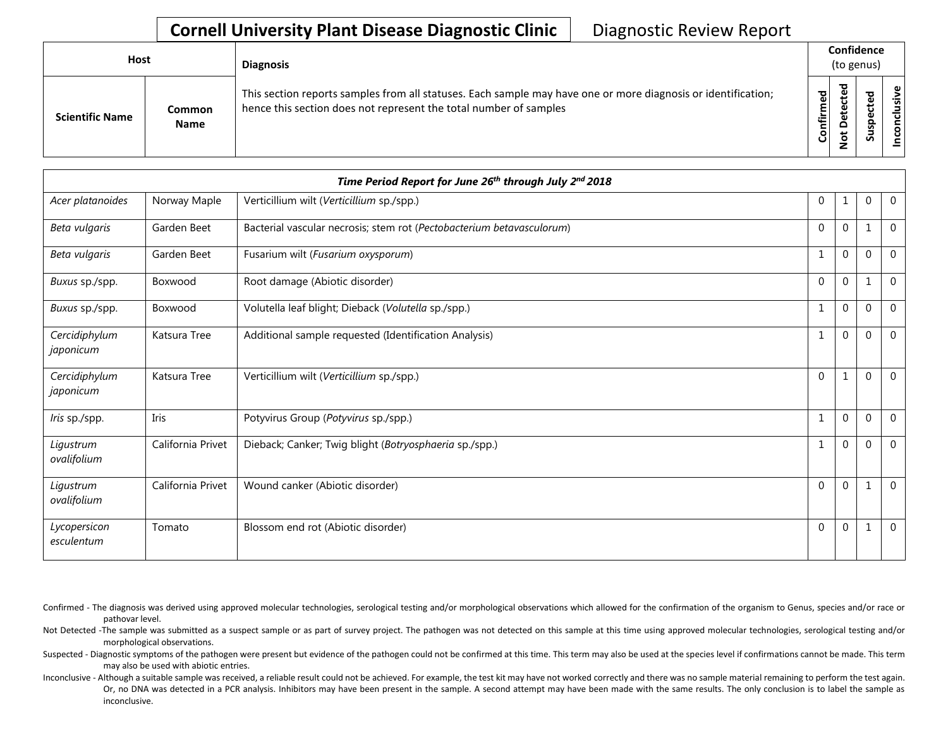## **Cornell University Plant Disease Diagnostic Clinic** | Diagnostic Review Report

| Host                   |                              | <b>Diagnosis</b>                                                                                                                                                                   |           | Confidence<br>(to genus) |   |               |
|------------------------|------------------------------|------------------------------------------------------------------------------------------------------------------------------------------------------------------------------------|-----------|--------------------------|---|---------------|
| <b>Scientific Name</b> | <b>Common</b><br><b>Name</b> | This section reports samples from all statuses. Each sample may have one or more diagnosis or identification;<br>hence this section does not represent the total number of samples | Confirmed | ᇃ<br>Φ<br>۵<br>پ<br>⇁    | ທ | ω<br>⊰÷<br>᠊ᠣ |

|                            |                   | Time Period Report for June 26th through July 2nd 2018                |              |          |          |                |
|----------------------------|-------------------|-----------------------------------------------------------------------|--------------|----------|----------|----------------|
| Acer platanoides           | Norway Maple      | Verticillium wilt (Verticillium sp./spp.)                             | $\mathbf{0}$ | 1        | 0        | $\overline{0}$ |
| Beta vulgaris              | Garden Beet       | Bacterial vascular necrosis; stem rot (Pectobacterium betavasculorum) | $\Omega$     | 0        |          | $\Omega$       |
| Beta vulgaris              | Garden Beet       | Fusarium wilt (Fusarium oxysporum)                                    | $\mathbf{1}$ | $\Omega$ | $\Omega$ | $\overline{0}$ |
| Buxus sp./spp.             | Boxwood           | Root damage (Abiotic disorder)                                        | $\Omega$     | 0        |          | $\mathbf 0$    |
| Buxus sp./spp.             | Boxwood           | Volutella leaf blight; Dieback (Volutella sp./spp.)                   | 1            | 0        | 0        | $\mathbf 0$    |
| Cercidiphylum<br>japonicum | Katsura Tree      | Additional sample requested (Identification Analysis)                 | $\mathbf{1}$ | 0        | $\Omega$ | $\overline{0}$ |
| Cercidiphylum<br>japonicum | Katsura Tree      | Verticillium wilt (Verticillium sp./spp.)                             | $\Omega$     | 1        | 0        | $\overline{0}$ |
| Iris sp./spp.              | Iris              | Potyvirus Group (Potyvirus sp./spp.)                                  | $\mathbf{1}$ | 0        | 0        | $\mathbf{0}$   |
| Ligustrum<br>ovalifolium   | California Privet | Dieback; Canker; Twig blight (Botryosphaeria sp./spp.)                | $\mathbf{1}$ | 0        | $\Omega$ | $\overline{0}$ |
| Ligustrum<br>ovalifolium   | California Privet | Wound canker (Abiotic disorder)                                       | $\Omega$     | 0        | -1       | $\overline{0}$ |
| Lycopersicon<br>esculentum | Tomato            | Blossom end rot (Abiotic disorder)                                    | $\Omega$     | 0        |          | $\overline{0}$ |

Confirmed - The diagnosis was derived using approved molecular technologies, serological testing and/or morphological observations which allowed for the confirmation of the organism to Genus, species and/or race or pathovar level.

Not Detected -The sample was submitted as a suspect sample or as part of survey project. The pathogen was not detected on this sample at this time using approved molecular technologies, serological testing and/or morphological observations.

Suspected - Diagnostic symptoms of the pathogen were present but evidence of the pathogen could not be confirmed at this time. This term may also be used at the species level if confirmations cannot be made. This term may also be used with abiotic entries.

Inconclusive - Although a suitable sample was received, a reliable result could not be achieved. For example, the test kit may have not worked correctly and there was no sample material remaining to perform the test again. Or, no DNA was detected in a PCR analysis. Inhibitors may have been present in the sample. A second attempt may have been made with the same results. The only conclusion is to label the sample as inconclusive.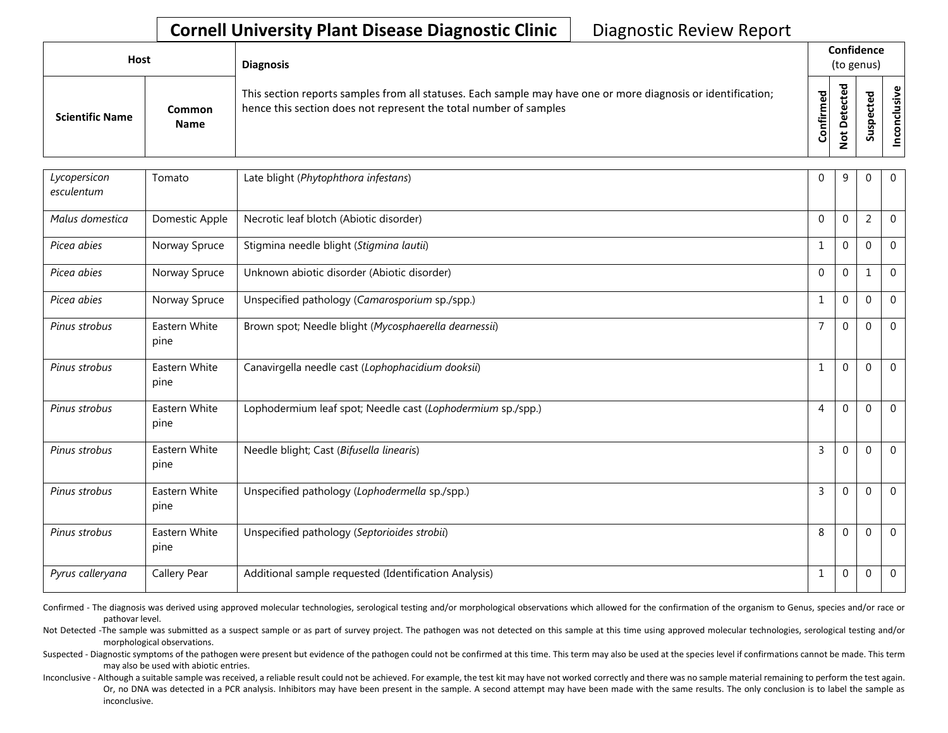## **Cornell University Plant Disease Diagnostic Clinic** | Diagnostic Review Report

| Host                   |                              | <b>Diagnosis</b>                                                                                                                                                                   |              |                    | Confidence<br>(to genus)   |       |
|------------------------|------------------------------|------------------------------------------------------------------------------------------------------------------------------------------------------------------------------------|--------------|--------------------|----------------------------|-------|
| <b>Scientific Name</b> | <b>Common</b><br><b>Name</b> | This section reports samples from all statuses. Each sample may have one or more diagnosis or identification;<br>hence this section does not represent the total number of samples | ဥ<br>Confirm | ᇃ<br>$\Omega$<br>پ | ъ<br>ഄ<br>o<br>요<br>s<br>Ō | usive |

| Lycopersicon<br>esculentum | Tomato                | Late blight (Phytophthora infestans)                        | $\Omega$       | 9           | $\Omega$       | $\mathbf{0}$   |
|----------------------------|-----------------------|-------------------------------------------------------------|----------------|-------------|----------------|----------------|
| Malus domestica            | Domestic Apple        | Necrotic leaf blotch (Abiotic disorder)                     | $\Omega$       | $\Omega$    | $\overline{2}$ | $\mathbf{0}$   |
| Picea abies                | Norway Spruce         | Stigmina needle blight (Stigmina lautii)                    | 1              | $\mathbf 0$ | $\mathbf 0$    | $\mathbf{0}$   |
| Picea abies                | Norway Spruce         | Unknown abiotic disorder (Abiotic disorder)                 | $\mathbf{0}$   | 0           | $\mathbf 1$    | $\mathbf 0$    |
| Picea abies                | Norway Spruce         | Unspecified pathology (Camarosporium sp./spp.)              | 1              | $\Omega$    | $\mathbf{0}$   | $\mathbf{0}$   |
| Pinus strobus              | Eastern White<br>pine | Brown spot; Needle blight (Mycosphaerella dearnessii)       | $\overline{7}$ | $\Omega$    | $\mathbf{0}$   | $\Omega$       |
| Pinus strobus              | Eastern White<br>pine | Canavirgella needle cast (Lophophacidium dooksii)           | 1              | $\Omega$    | $\Omega$       | $\mathbf 0$    |
| Pinus strobus              | Eastern White<br>pine | Lophodermium leaf spot; Needle cast (Lophodermium sp./spp.) | 4              | $\Omega$    | $\mathbf{0}$   | $\mathbf 0$    |
| Pinus strobus              | Eastern White<br>pine | Needle blight; Cast (Bifusella linearis)                    | 3              | $\Omega$    | $\Omega$       | $\overline{0}$ |
| Pinus strobus              | Eastern White<br>pine | Unspecified pathology (Lophodermella sp./spp.)              | 3              | $\Omega$    | $\Omega$       | $\Omega$       |
| Pinus strobus              | Eastern White<br>pine | Unspecified pathology (Septorioides strobii)                | 8              | 0           | $\Omega$       | $\overline{0}$ |
| Pyrus calleryana           | Callery Pear          | Additional sample requested (Identification Analysis)       | 1              | $\Omega$    | $\mathbf 0$    | $\overline{0}$ |

Confirmed - The diagnosis was derived using approved molecular technologies, serological testing and/or morphological observations which allowed for the confirmation of the organism to Genus, species and/or race or pathovar level.

Not Detected -The sample was submitted as a suspect sample or as part of survey project. The pathogen was not detected on this sample at this time using approved molecular technologies, serological testing and/or morphological observations.

Suspected - Diagnostic symptoms of the pathogen were present but evidence of the pathogen could not be confirmed at this time. This term may also be used at the species level if confirmations cannot be made. This term may also be used with abiotic entries.

Inconclusive - Although a suitable sample was received, a reliable result could not be achieved. For example, the test kit may have not worked correctly and there was no sample material remaining to perform the test again. Or, no DNA was detected in a PCR analysis. Inhibitors may have been present in the sample. A second attempt may have been made with the same results. The only conclusion is to label the sample as inconclusive.